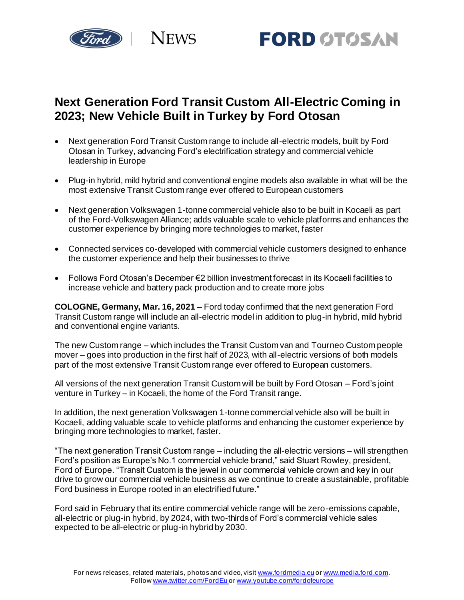



## **Next Generation Ford Transit Custom All-Electric Coming in 2023; New Vehicle Built in Turkey by Ford Otosan**

- Next generation Ford Transit Custom range to include all-electric models, built by Ford Otosan in Turkey, advancing Ford's electrification strategy and commercial vehicle leadership in Europe
- Plug-in hybrid, mild hybrid and conventional engine models also available in what will be the most extensive Transit Custom range ever offered to European customers
- Next generation Volkswagen 1-tonne commercial vehicle also to be built in Kocaeli as part of the Ford-Volkswagen Alliance; adds valuable scale to vehicle platforms and enhances the customer experience by bringing more technologies to market, faster
- Connected services co-developed with commercial vehicle customers designed to enhance the customer experience and help their businesses to thrive
- Follows Ford Otosan's December €2 billion investment forecast in its Kocaeli facilities to increase vehicle and battery pack production and to create more jobs

**COLOGNE, Germany, Mar. 16, 2021 –** Ford today confirmed that the next generation Ford Transit Custom range will include an all-electric model in addition to plug-in hybrid, mild hybrid and conventional engine variants.

The new Custom range – which includes the Transit Custom van and Tourneo Custom people mover – goes into production in the first half of 2023, with all-electric versions of both models part of the most extensive Transit Custom range ever offered to European customers.

All versions of the next generation Transit Custom will be built by Ford Otosan – Ford's joint venture in Turkey – in Kocaeli, the home of the Ford Transit range.

In addition, the next generation Volkswagen 1-tonne commercial vehicle also will be built in Kocaeli, adding valuable scale to vehicle platforms and enhancing the customer experience by bringing more technologies to market, faster.

"The next generation Transit Custom range – including the all-electric versions – will strengthen Ford's position as Europe's No.1 commercial vehicle brand," said Stuart Rowley, president, Ford of Europe. "Transit Custom is the jewel in our commercial vehicle crown and key in our drive to grow our commercial vehicle business as we continue to create a sustainable, profitable Ford business in Europe rooted in an electrified future."

Ford said in February that its entire commercial vehicle range will be zero-emissions capable, all-electric or plug-in hybrid, by 2024, with two-thirds of Ford's commercial vehicle sales expected to be all-electric or plug-in hybrid by 2030.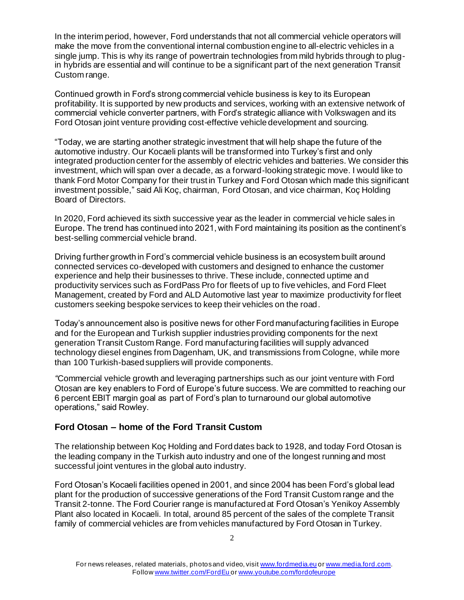In the interim period, however, Ford understands that not all commercial vehicle operators will make the move from the conventional internal combustion engine to all-electric vehicles in a single jump. This is why its range of powertrain technologies from mild hybrids through to plugin hybrids are essential and will continue to be a significant part of the next generation Transit Custom range.

Continued growth in Ford's strong commercial vehicle business is key to its European profitability. It is supported by new products and services, working with an extensive network of commercial vehicle converter partners, with Ford's strategic alliance with Volkswagen and its Ford Otosan joint venture providing cost-effective vehicle development and sourcing.

"Today, we are starting another strategic investment that will help shape the future of the automotive industry. Our Kocaeli plants will be transformed into Turkey's first and only integrated production center for the assembly of electric vehicles and batteries. We consider this investment, which will span over a decade, as a forward-looking strategic move. I would like to thank Ford Motor Company for their trust in Turkey and Ford Otosan which made this significant investment possible," said Ali Koç, chairman, Ford Otosan, and vice chairman, Koç Holding Board of Directors.

In 2020, Ford achieved its sixth successive year as the leader in commercial vehicle sales in Europe. The trend has continued into 2021, with Ford maintaining its position as the continent's best-selling commercial vehicle brand.

Driving further growth in Ford's commercial vehicle business is an ecosystem built around connected services co-developed with customers and designed to enhance the customer experience and help their businesses to thrive. These include, connected uptime and productivity services such as FordPass Pro for fleets of up to five vehicles, and Ford Fleet Management, created by Ford and ALD Automotive last year to maximize productivity for fleet customers seeking bespoke services to keep their vehicles on the road.

Today's announcement also is positive news for other Ford manufacturing facilities in Europe and for the European and Turkish supplier industries providing components for the next generation Transit Custom Range. Ford manufacturing facilities will supply advanced technology diesel engines from Dagenham, UK, and transmissions from Cologne, while more than 100 Turkish-based suppliers will provide components.

*"*Commercial vehicle growth and leveraging partnerships such as our joint venture with Ford Otosan are key enablers to Ford of Europe's future success. We are committed to reaching our 6 percent EBIT margin goal as part of Ford's plan to turnaround our global automotive operations," said Rowley.

## **Ford Otosan – home of the Ford Transit Custom**

The relationship between Koç Holding and Ford dates back to 1928, and today Ford Otosan is the leading company in the Turkish auto industry and one of the longest running and most successful joint ventures in the global auto industry.

Ford Otosan's Kocaeli facilities opened in 2001, and since 2004 has been Ford's global lead plant for the production of successive generations of the Ford Transit Custom range and the Transit 2-tonne. The Ford Courier range is manufactured at Ford Otosan's Yenikoy Assembly Plant also located in Kocaeli. In total, around 85 percent of the sales of the complete Transit family of commercial vehicles are from vehicles manufactured by Ford Otosan in Turkey.